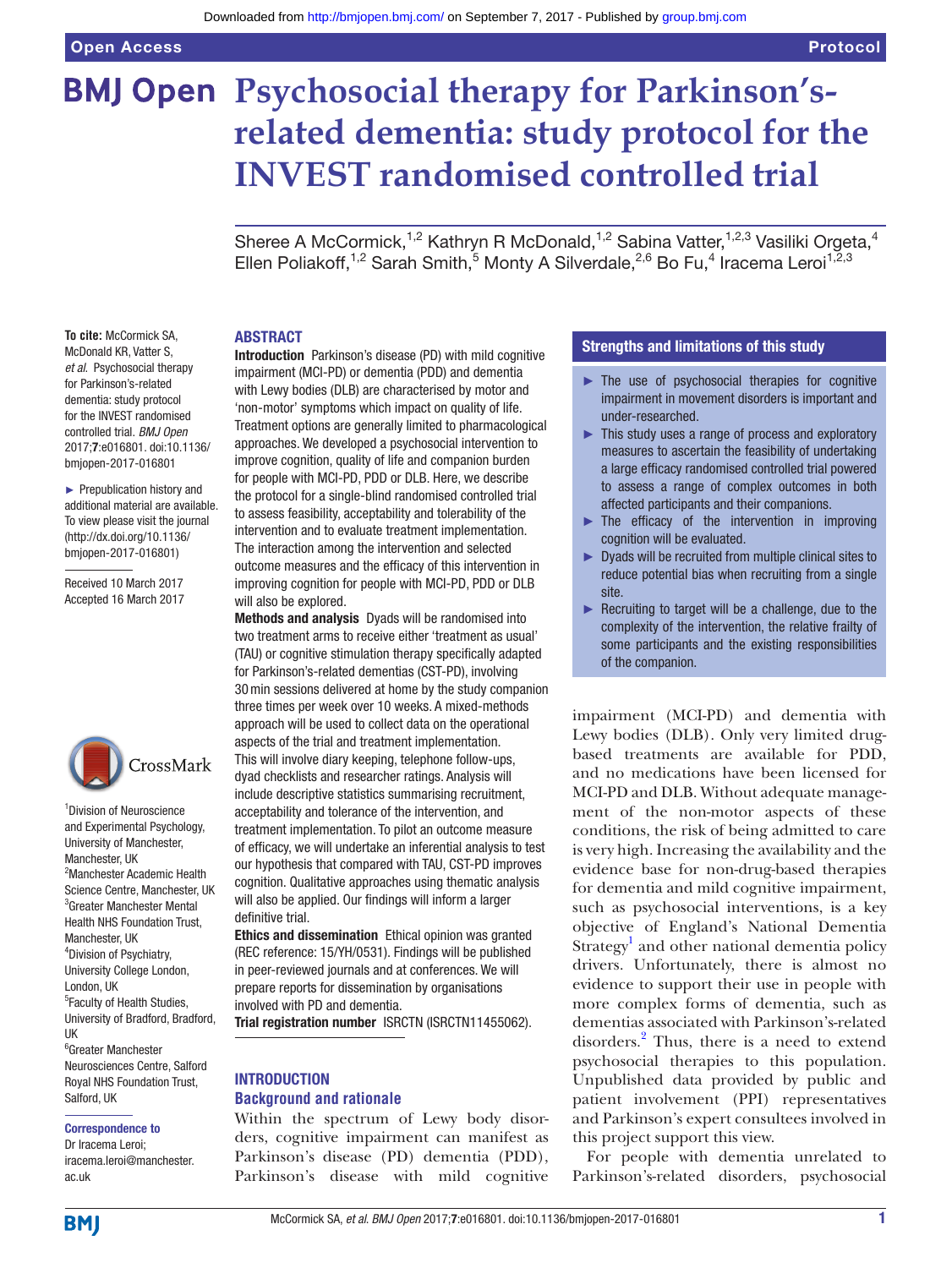# **BMJ Open Psychosocial therapy for Parkinson'srelated dementia: study protocol for the INVEST randomised controlled trial**

Sheree A McCormick,<sup>1,2</sup> Kathryn R McDonald,<sup>1,2</sup> Sabina Vatter,<sup>1,2,3</sup> Vasiliki Orgeta,<sup>4</sup> Ellen Poliakoff,<sup>1,2</sup> Sarah Smith,<sup>5</sup> Monty A Silverdale,<sup>2,6</sup> Bo Fu,<sup>4</sup> Iracema Leroi<sup>1,2,3</sup>

#### **ABSTRACT**

**To cite:** McCormick SA, McDonald KR, Vatter S, *et al*. Psychosocial therapy for Parkinson's-related dementia: study protocol for the INVEST randomised controlled trial. *BMJ Open* 2017;7:e016801. doi:10.1136/ bmjopen-2017-016801

► Prepublication history and additional material are available. To view please visit the journal [\(http://dx.doi.org/10.1136/](http://dx.doi.org/10.1136/bmjopen-2017-016801) [bmjopen-2017-016801](http://dx.doi.org/10.1136/bmjopen-2017-016801))

Received 10 March 2017 Accepted 16 March 2017



<sup>1</sup> Division of Neuroscience and Experimental Psychology, University of Manchester, Manchester, UK <sup>2</sup>Manchester Academic Health Science Centre, Manchester, UK 3 Greater Manchester Mental Health NHS Foundation Trust, Manchester, UK 4 Division of Psychiatry, University College London, London, UK 5 Faculty of Health Studies, University of Bradford, Bradford, UK 6 Greater Manchester Neurosciences Centre, Salford Royal NHS Foundation Trust, Salford, UK

#### Correspondence to

Dr Iracema Leroi; iracema.leroi@manchester. ac.uk

Introduction Parkinson's disease (PD) with mild cognitive impairment (MCI-PD) or dementia (PDD) and dementia with Lewy bodies (DLB) are characterised by motor and 'non-motor' symptoms which impact on quality of life. Treatment options are generally limited to pharmacological approaches. We developed a psychosocial intervention to improve cognition, quality of life and companion burden for people with MCI-PD, PDD or DLB. Here, we describe the protocol for a single-blind randomised controlled trial to assess feasibility, acceptability and tolerability of the intervention and to evaluate treatment implementation. The interaction among the intervention and selected outcome measures and the efficacy of this intervention in improving cognition for people with MCI-PD, PDD or DLB will also be explored.

Methods and analysis Dyads will be randomised into two treatment arms to receive either 'treatment as usual' (TAU) or cognitive stimulation therapy specifically adapted for Parkinson's-related dementias (CST-PD), involving 30min sessions delivered at home by the study companion three times per week over 10 weeks. A mixed-methods approach will be used to collect data on the operational aspects of the trial and treatment implementation. This will involve diary keeping, telephone follow-ups, dyad checklists and researcher ratings. Analysis will include descriptive statistics summarising recruitment, acceptability and tolerance of the intervention, and treatment implementation. To pilot an outcome measure of efficacy, we will undertake an inferential analysis to test our hypothesis that compared with TAU, CST-PD improves cognition. Qualitative approaches using thematic analysis will also be applied. Our findings will inform a larger definitive trial.

Ethics and dissemination Ethical opinion was granted (REC reference: 15/YH/0531). Findings will be published in peer-reviewed journals and at conferences. We will prepare reports for dissemination by organisations involved with PD and dementia.

Trial registration number ISRCTN (ISRCTN11455062).

# **INTRODUCTION Background and rationale**

Within the spectrum of Lewy body disorders, cognitive impairment can manifest as Parkinson's disease (PD) dementia (PDD), Parkinson's disease with mild cognitive

#### Strengths and limitations of this study

- ► The use of psychosocial therapies for cognitive impairment in movement disorders is important and under-researched.
- ► This study uses a range of process and exploratory measures to ascertain the feasibility of undertaking a large efficacy randomised controlled trial powered to assess a range of complex outcomes in both affected participants and their companions.
- ► The efficacy of the intervention in improving cognition will be evaluated.
- ► Dyads will be recruited from multiple clinical sites to reduce potential bias when recruiting from a single site.
- ► Recruiting to target will be a challenge, due to the complexity of the intervention, the relative frailty of some participants and the existing responsibilities of the companion.

impairment (MCI-PD) and dementia with Lewy bodies (DLB). Only very limited drugbased treatments are available for PDD, and no medications have been licensed for MCI-PD and DLB. Without adequate management of the non-motor aspects of these conditions, the risk of being admitted to care is very high. Increasing the availability and the evidence base for non-drug-based therapies for dementia and mild cognitive impairment, such as psychosocial interventions, is a key objective of England's National Dementia Strategy<sup>1</sup> and other national dementia policy drivers. Unfortunately, there is almost no evidence to support their use in people with more complex forms of dementia, such as dementias associated with Parkinson's-related disorders.[2](#page-8-1) Thus, there is a need to extend psychosocial therapies to this population. Unpublished data provided by public and patient involvement (PPI) representatives and Parkinson's expert consultees involved in this project support this view.

For people with dementia unrelated to Parkinson's-related disorders, psychosocial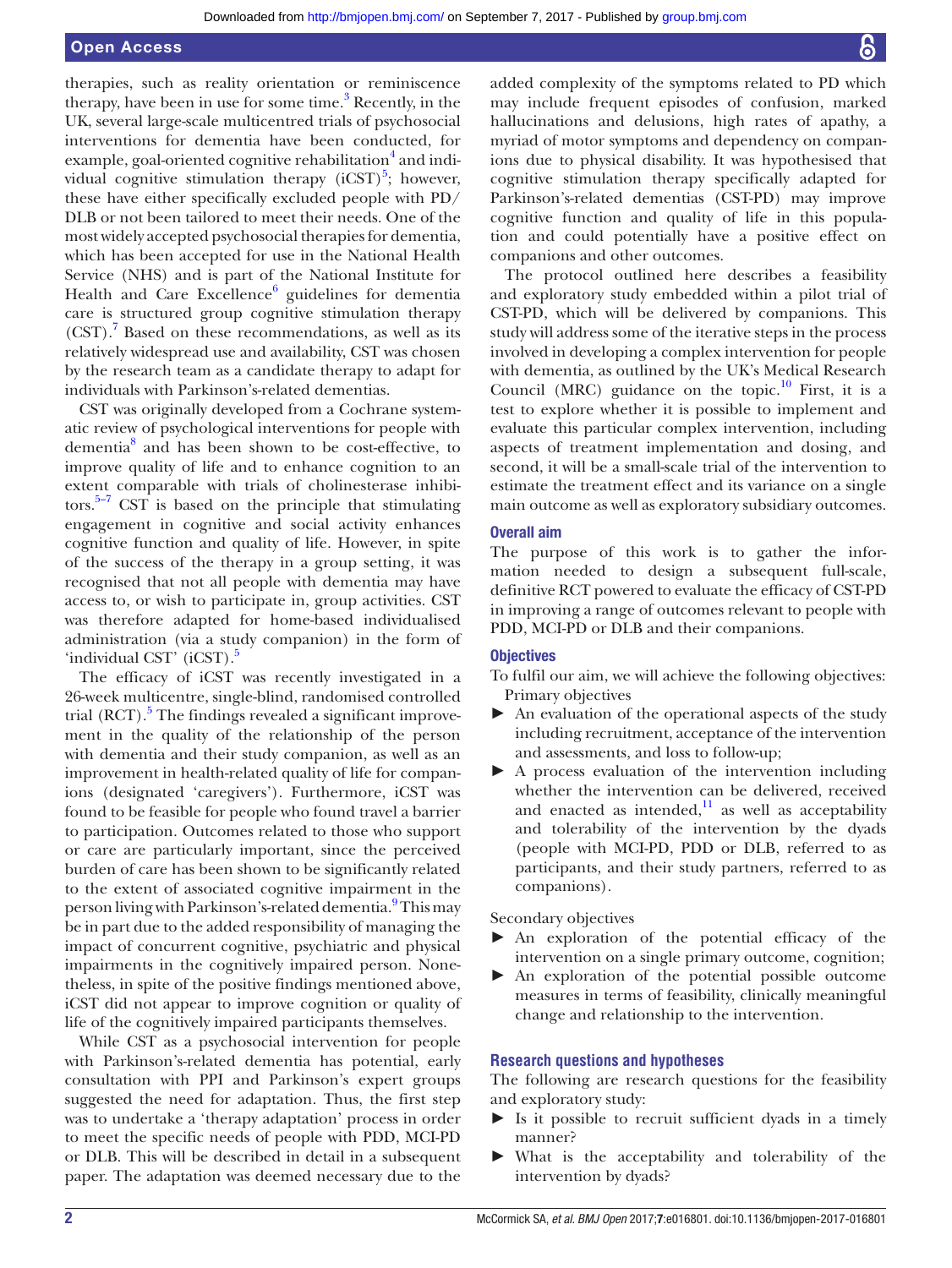therapies, such as reality orientation or reminiscence therapy, have been in use for some time.<sup>[3](#page-8-2)</sup> Recently, in the UK, several large-scale multicentred trials of psychosocial interventions for dementia have been conducted, for example, goal-oriented cognitive rehabilitation<sup>4</sup> and individual cognitive stimulation therapy  $(iCST)^5$ ; however, these have either specifically excluded people with PD/ DLB or not been tailored to meet their needs. One of the most widely accepted psychosocial therapies for dementia, which has been accepted for use in the National Health Service (NHS) and is part of the National Institute for Health and Care Excellence<sup>[6](#page-8-5)</sup> guidelines for dementia care is structured group cognitive stimulation therapy (CST).[7](#page-8-6) Based on these recommendations, as well as its relatively widespread use and availability, CST was chosen by the research team as a candidate therapy to adapt for individuals with Parkinson's-related dementias.

CST was originally developed from a Cochrane systematic review of psychological interventions for people with dementia[8](#page-8-7) and has been shown to be cost-effective, to improve quality of life and to enhance cognition to an extent comparable with trials of cholinesterase inhibitors. $5\frac{5}{7}$  CST is based on the principle that stimulating engagement in cognitive and social activity enhances cognitive function and quality of life. However, in spite of the success of the therapy in a group setting, it was recognised that not all people with dementia may have access to, or wish to participate in, group activities. CST was therefore adapted for home-based individualised administration (via a study companion) in the form of 'individual CST' (iCST).<sup>[5](#page-8-4)</sup>

The efficacy of iCST was recently investigated in a 26-week multicentre, single-blind, randomised controlled trial (RCT).<sup>5</sup> The findings revealed a significant improvement in the quality of the relationship of the person with dementia and their study companion, as well as an improvement in health-related quality of life for companions (designated 'caregivers'). Furthermore, iCST was found to be feasible for people who found travel a barrier to participation. Outcomes related to those who support or care are particularly important, since the perceived burden of care has been shown to be significantly related to the extent of associated cognitive impairment in the person living with Parkinson's-related dementia.<sup>[9](#page-8-8)</sup> This may be in part due to the added responsibility of managing the impact of concurrent cognitive, psychiatric and physical impairments in the cognitively impaired person. Nonetheless, in spite of the positive findings mentioned above, iCST did not appear to improve cognition or quality of life of the cognitively impaired participants themselves.

While CST as a psychosocial intervention for people with Parkinson's-related dementia has potential, early consultation with PPI and Parkinson's expert groups suggested the need for adaptation. Thus, the first step was to undertake a 'therapy adaptation' process in order to meet the specific needs of people with PDD, MCI-PD or DLB. This will be described in detail in a subsequent paper. The adaptation was deemed necessary due to the added complexity of the symptoms related to PD which may include frequent episodes of confusion, marked hallucinations and delusions, high rates of apathy, a myriad of motor symptoms and dependency on companions due to physical disability. It was hypothesised that cognitive stimulation therapy specifically adapted for Parkinson's-related dementias (CST-PD) may improve cognitive function and quality of life in this population and could potentially have a positive effect on companions and other outcomes.

The protocol outlined here describes a feasibility and exploratory study embedded within a pilot trial of CST-PD, which will be delivered by companions. This study will address some of the iterative steps in the process involved in developing a complex intervention for people with dementia, as outlined by the UK's Medical Research Council (MRC) guidance on the topic.<sup>[10](#page-8-9)</sup> First, it is a test to explore whether it is possible to implement and evaluate this particular complex intervention, including aspects of treatment implementation and dosing, and second, it will be a small-scale trial of the intervention to estimate the treatment effect and its variance on a single main outcome as well as exploratory subsidiary outcomes.

#### Overall aim

The purpose of this work is to gather the information needed to design a subsequent full-scale, definitive RCT powered to evaluate the efficacy of CST-PD in improving a range of outcomes relevant to people with PDD, MCI-PD or DLB and their companions.

#### **Objectives**

To fulfil our aim, we will achieve the following objectives: Primary objectives

- ► An evaluation of the operational aspects of the study including recruitment, acceptance of the intervention and assessments, and loss to follow-up;
- ► A process evaluation of the intervention including whether the intervention can be delivered, received and enacted as intended, $11$  as well as acceptability and tolerability of the intervention by the dyads (people with MCI-PD, PDD or DLB, referred to as participants, and their study partners, referred to as companions).

Secondary objectives

- ► An exploration of the potential efficacy of the intervention on a single primary outcome, cognition;
- ► An exploration of the potential possible outcome measures in terms of feasibility, clinically meaningful change and relationship to the intervention.

#### **Research questions and hypotheses**

The following are research questions for the feasibility and exploratory study:

- ► Is it possible to recruit sufficient dyads in a timely manner?
- ► What is the acceptability and tolerability of the intervention by dyads?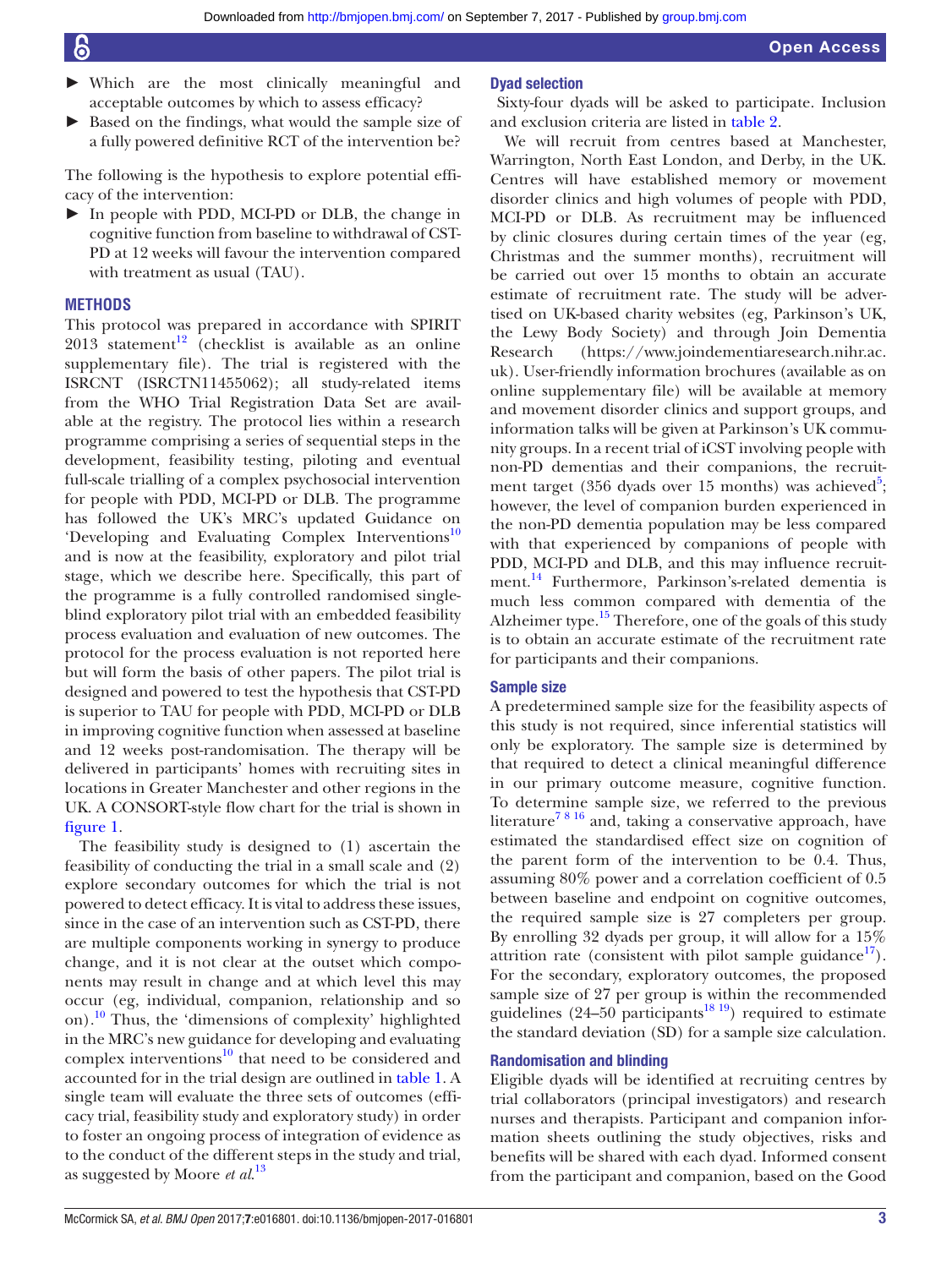- ► Which are the most clinically meaningful and acceptable outcomes by which to assess efficacy?
- ► Based on the findings, what would the sample size of a fully powered definitive RCT of the intervention be?

The following is the hypothesis to explore potential efficacy of the intervention:

► In people with PDD, MCI-PD or DLB, the change in cognitive function from baseline to withdrawal of CST-PD at 12 weeks will favour the intervention compared with treatment as usual (TAU).

# **Methods**

This protocol was prepared in accordance with SPIRIT  $2013$  statement<sup>[12](#page-8-11)</sup> (checklist is available as an online [supplementary file](https://dx.doi.org/10.1136/bmjopen-2017-016801)). The trial is registered with the ISRCNT (ISRCTN11455062); all study-related items from the WHO Trial Registration Data Set are available at the registry. The protocol lies within a research programme comprising a series of sequential steps in the development, feasibility testing, piloting and eventual full-scale trialling of a complex psychosocial intervention for people with PDD, MCI-PD or DLB. The programme has followed the UK's MRC's updated Guidance on 'Developing and Evaluating Complex Interventions<sup>10</sup> and is now at the feasibility, exploratory and pilot trial stage, which we describe here. Specifically, this part of the programme is a fully controlled randomised singleblind exploratory pilot trial with an embedded feasibility process evaluation and evaluation of new outcomes. The protocol for the process evaluation is not reported here but will form the basis of other papers. The pilot trial is designed and powered to test the hypothesis that CST-PD is superior to TAU for people with PDD, MCI-PD or DLB in improving cognitive function when assessed at baseline and 12 weeks post-randomisation. The therapy will be delivered in participants' homes with recruiting sites in locations in Greater Manchester and other regions in the UK. A CONSORT-style flow chart for the trial is shown in [figure](#page-3-0) 1.

The feasibility study is designed to (1) ascertain the feasibility of conducting the trial in a small scale and (2) explore secondary outcomes for which the trial is not powered to detect efficacy. It is vital to address these issues, since in the case of an intervention such as CST-PD, there are multiple components working in synergy to produce change, and it is not clear at the outset which components may result in change and at which level this may occur (eg, individual, companion, relationship and so on).[10](#page-8-9) Thus, the 'dimensions of complexity' highlighted in the MRC's new guidance for developing and evaluating complex interventions $^{10}$  that need to be considered and accounted for in the trial design are outlined in [table](#page-4-0) 1. A single team will evaluate the three sets of outcomes (efficacy trial, feasibility study and exploratory study) in order to foster an ongoing process of integration of evidence as to the conduct of the different steps in the study and trial, as suggested by Moore *et al*. [13](#page-8-12)

# Dyad selection

 Sixty-four dyads will be asked to participate. Inclusion and exclusion criteria are listed in [table](#page-4-1) 2.

We will recruit from centres based at Manchester, Warrington, North East London, and Derby, in the UK. Centres will have established memory or movement disorder clinics and high volumes of people with PDD, MCI-PD or DLB. As recruitment may be influenced by clinic closures during certain times of the year (eg, Christmas and the summer months), recruitment will be carried out over 15 months to obtain an accurate estimate of recruitment rate. The study will be advertised on UK-based charity websites (eg, Parkinson's UK, the Lewy Body Society) and through Join Dementia Research [\(https://www.joindementiaresearch.nihr.ac.](https://www.joindementiaresearch.nihr.ac.uk) [uk\)](https://www.joindementiaresearch.nihr.ac.uk). User-friendly information brochures (available as on online [supplementary file](https://dx.doi.org/10.1136/bmjopen-2017-016801)) will be available at memory and movement disorder clinics and support groups, and information talks will be given at Parkinson's UK community groups. In a recent trial of iCST involving people with non-PD dementias and their companions, the recruit-ment target (3[5](#page-8-4)6 dyads over 15 months) was achieved<sup>5</sup>; however, the level of companion burden experienced in the non-PD dementia population may be less compared with that experienced by companions of people with PDD, MCI-PD and DLB, and this may influence recruit-ment.<sup>[14](#page-8-13)</sup> Furthermore, Parkinson's-related dementia is much less common compared with dementia of the Alzheimer type. $15$  Therefore, one of the goals of this study is to obtain an accurate estimate of the recruitment rate for participants and their companions.

# Sample size

A predetermined sample size for the feasibility aspects of this study is not required, since inferential statistics will only be exploratory. The sample size is determined by that required to detect a clinical meaningful difference in our primary outcome measure, cognitive function. To determine sample size, we referred to the previous literature<sup>78 16</sup> and, taking a conservative approach, have estimated the standardised effect size on cognition of the parent form of the intervention to be 0.4. Thus, assuming 80% power and a correlation coefficient of 0.5 between baseline and endpoint on cognitive outcomes, the required sample size is 27 completers per group. By enrolling 32 dyads per group, it will allow for a 15% attrition rate (consistent with pilot sample guidance $17$ ). For the secondary, exploratory outcomes, the proposed sample size of 27 per group is within the recommended guidelines (24–50 participants<sup>18 19</sup>) required to estimate the standard deviation (SD) for a sample size calculation.

# Randomisation and blinding

Eligible dyads will be identified at recruiting centres by trial collaborators (principal investigators) and research nurses and therapists. Participant and companion information sheets outlining the study objectives, risks and benefits will be shared with each dyad. Informed consent from the participant and companion, based on the Good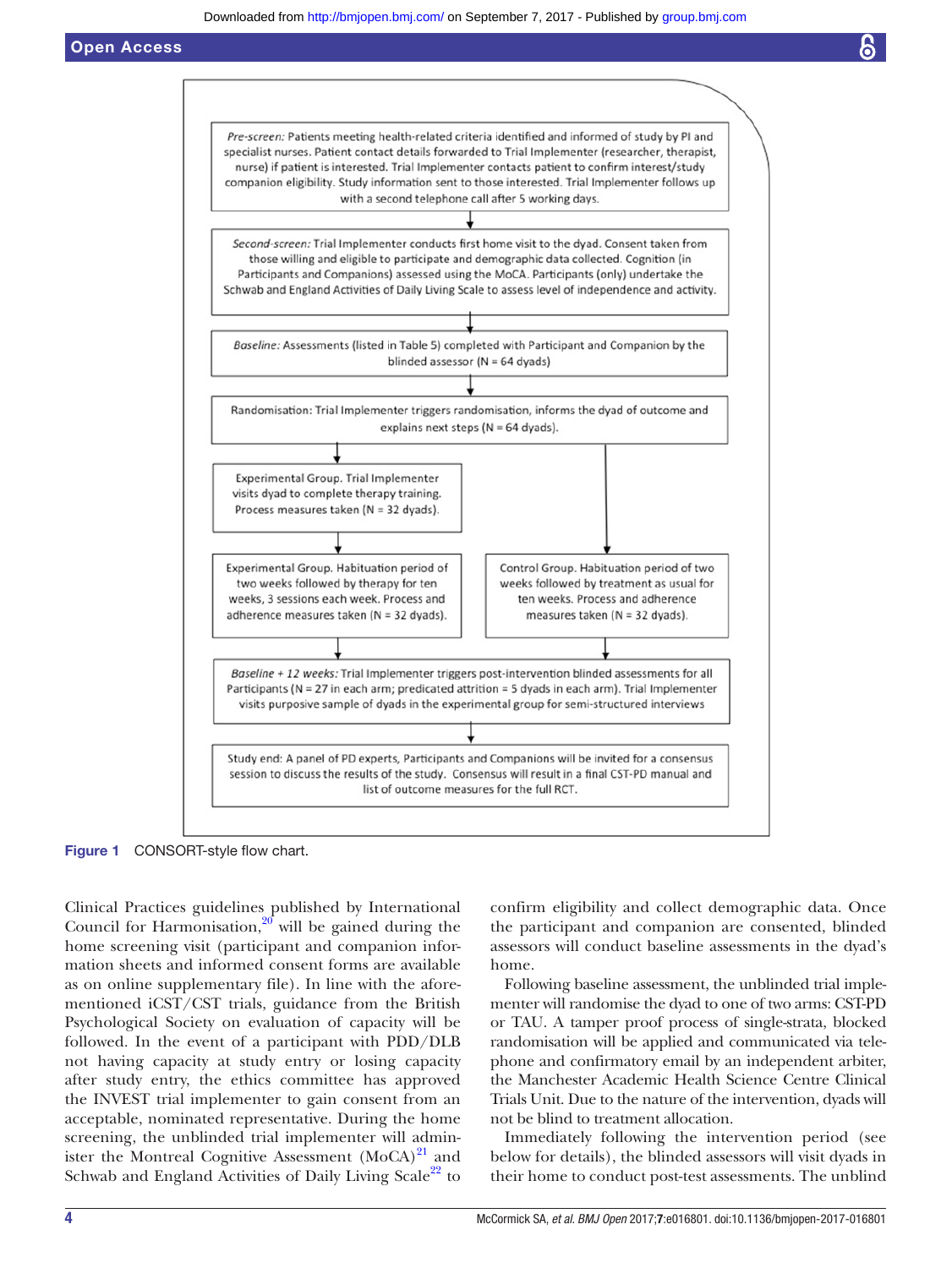Downloaded from<http://bmjopen.bmj.com/>on September 7, 2017 - Published by [group.bmj.com](http://group.bmj.com)



Figure 1 CONSORT-style flow chart.

Clinical Practices guidelines published by International Council for Harmonisation, $20$  will be gained during the home screening visit (participant and companion information sheets and informed consent forms are available as on online [supplementary file\)](https://dx.doi.org/10.1136/bmjopen-2017-016801). In line with the aforementioned iCST/CST trials, guidance from the British Psychological Society on evaluation of capacity will be followed. In the event of a participant with PDD/DLB not having capacity at study entry or losing capacity after study entry, the ethics committee has approved the INVEST trial implementer to gain consent from an acceptable, nominated representative. During the home screening, the unblinded trial implementer will administer the Montreal Cognitive Assessment  $(MoCA)^{21}$  and Schwab and England Activities of Daily Living Scale<sup>22</sup> to

<span id="page-3-0"></span>confirm eligibility and collect demographic data. Once the participant and companion are consented, blinded assessors will conduct baseline assessments in the dyad's home.

Following baseline assessment, the unblinded trial implementer will randomise the dyad to one of two arms: CST-PD or TAU. A tamper proof process of single-strata, blocked randomisation will be applied and communicated via telephone and confirmatory email by an independent arbiter, the Manchester Academic Health Science Centre Clinical Trials Unit. Due to the nature of the intervention, dyads will not be blind to treatment allocation.

Immediately following the intervention period (see below for details), the blinded assessors will visit dyads in their home to conduct post-test assessments. The unblind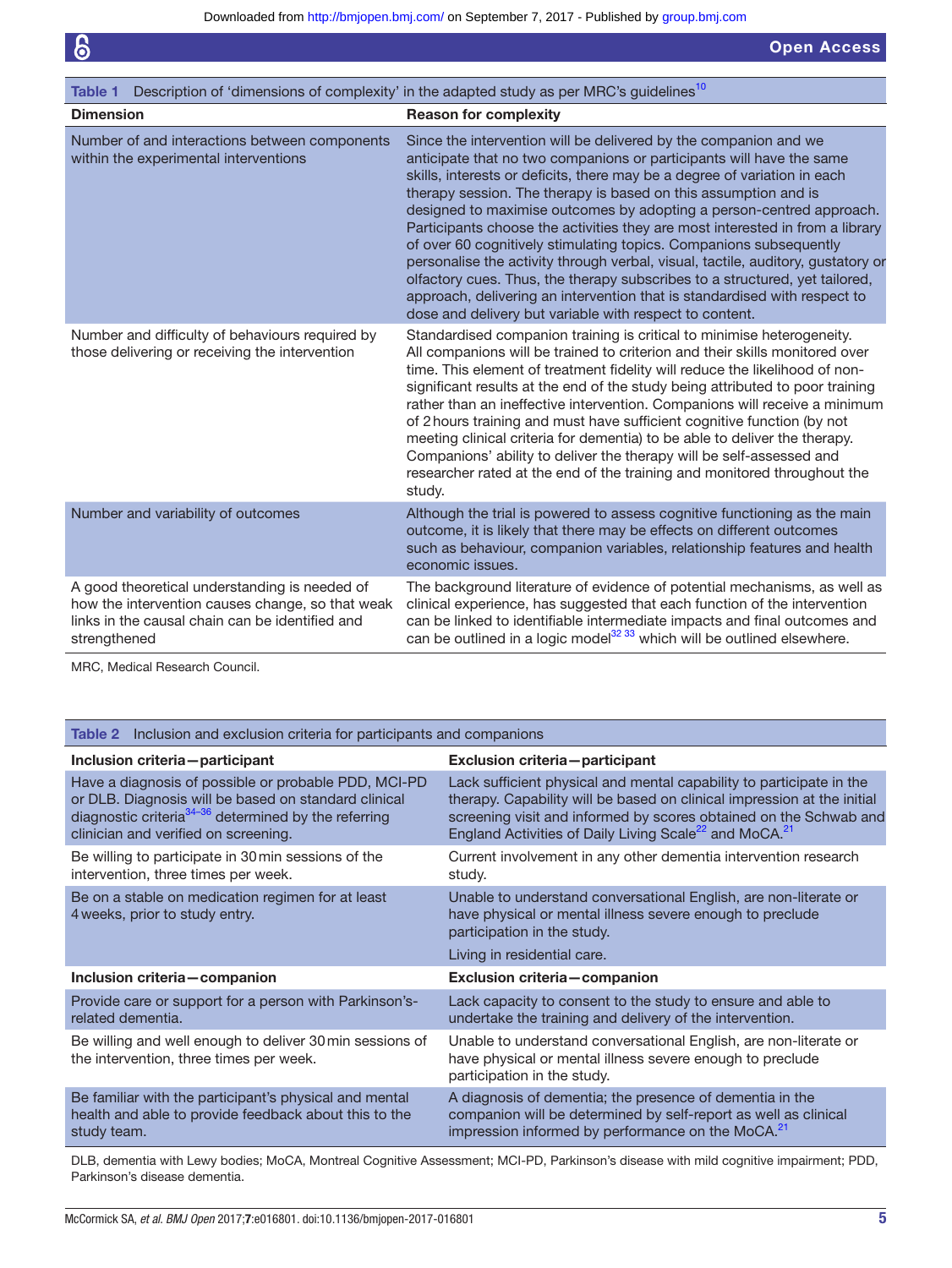<span id="page-4-0"></span>

| Description of 'dimensions of complexity' in the adapted study as per MRC's guidelines <sup>10</sup><br>Table 1                                                      |                                                                                                                                                                                                                                                                                                                                                                                                                                                                                                                                                                                                                                                                                                                                                                                                                                    |  |
|----------------------------------------------------------------------------------------------------------------------------------------------------------------------|------------------------------------------------------------------------------------------------------------------------------------------------------------------------------------------------------------------------------------------------------------------------------------------------------------------------------------------------------------------------------------------------------------------------------------------------------------------------------------------------------------------------------------------------------------------------------------------------------------------------------------------------------------------------------------------------------------------------------------------------------------------------------------------------------------------------------------|--|
| <b>Dimension</b>                                                                                                                                                     | <b>Reason for complexity</b>                                                                                                                                                                                                                                                                                                                                                                                                                                                                                                                                                                                                                                                                                                                                                                                                       |  |
| Number of and interactions between components<br>within the experimental interventions                                                                               | Since the intervention will be delivered by the companion and we<br>anticipate that no two companions or participants will have the same<br>skills, interests or deficits, there may be a degree of variation in each<br>therapy session. The therapy is based on this assumption and is<br>designed to maximise outcomes by adopting a person-centred approach.<br>Participants choose the activities they are most interested in from a library<br>of over 60 cognitively stimulating topics. Companions subsequently<br>personalise the activity through verbal, visual, tactile, auditory, gustatory or<br>olfactory cues. Thus, the therapy subscribes to a structured, yet tailored,<br>approach, delivering an intervention that is standardised with respect to<br>dose and delivery but variable with respect to content. |  |
| Number and difficulty of behaviours required by<br>those delivering or receiving the intervention                                                                    | Standardised companion training is critical to minimise heterogeneity.<br>All companions will be trained to criterion and their skills monitored over<br>time. This element of treatment fidelity will reduce the likelihood of non-<br>significant results at the end of the study being attributed to poor training<br>rather than an ineffective intervention. Companions will receive a minimum<br>of 2 hours training and must have sufficient cognitive function (by not<br>meeting clinical criteria for dementia) to be able to deliver the therapy.<br>Companions' ability to deliver the therapy will be self-assessed and<br>researcher rated at the end of the training and monitored throughout the<br>study.                                                                                                         |  |
| Number and variability of outcomes                                                                                                                                   | Although the trial is powered to assess cognitive functioning as the main<br>outcome, it is likely that there may be effects on different outcomes<br>such as behaviour, companion variables, relationship features and health<br>economic issues.                                                                                                                                                                                                                                                                                                                                                                                                                                                                                                                                                                                 |  |
| A good theoretical understanding is needed of<br>how the intervention causes change, so that weak<br>links in the causal chain can be identified and<br>strengthened | The background literature of evidence of potential mechanisms, as well as<br>clinical experience, has suggested that each function of the intervention<br>can be linked to identifiable intermediate impacts and final outcomes and<br>can be outlined in a logic model <sup>32 33</sup> which will be outlined elsewhere.                                                                                                                                                                                                                                                                                                                                                                                                                                                                                                         |  |

MRC, Medical Research Council.

<span id="page-4-1"></span>

| <b>Table 2</b> Inclusion and exclusion criteria for participants and companions                                                                                                                                          |                                                                                                                                                                                                                                                                                                        |  |
|--------------------------------------------------------------------------------------------------------------------------------------------------------------------------------------------------------------------------|--------------------------------------------------------------------------------------------------------------------------------------------------------------------------------------------------------------------------------------------------------------------------------------------------------|--|
| Inclusion criteria-participant                                                                                                                                                                                           | Exclusion criteria-participant                                                                                                                                                                                                                                                                         |  |
| Have a diagnosis of possible or probable PDD, MCI-PD<br>or DLB. Diagnosis will be based on standard clinical<br>diagnostic criteria <sup>34-36</sup> determined by the referring<br>clinician and verified on screening. | Lack sufficient physical and mental capability to participate in the<br>therapy. Capability will be based on clinical impression at the initial<br>screening visit and informed by scores obtained on the Schwab and<br>England Activities of Daily Living Scale <sup>22</sup> and MoCA. <sup>21</sup> |  |
| Be willing to participate in 30 min sessions of the<br>intervention, three times per week.                                                                                                                               | Current involvement in any other dementia intervention research<br>study.                                                                                                                                                                                                                              |  |
| Be on a stable on medication regimen for at least<br>4 weeks, prior to study entry.                                                                                                                                      | Unable to understand conversational English, are non-literate or<br>have physical or mental illness severe enough to preclude<br>participation in the study.                                                                                                                                           |  |
|                                                                                                                                                                                                                          | Living in residential care.                                                                                                                                                                                                                                                                            |  |
| Inclusion criteria-companion                                                                                                                                                                                             | Exclusion criteria-companion                                                                                                                                                                                                                                                                           |  |
| Provide care or support for a person with Parkinson's-<br>related dementia.                                                                                                                                              | Lack capacity to consent to the study to ensure and able to<br>undertake the training and delivery of the intervention.                                                                                                                                                                                |  |
| Be willing and well enough to deliver 30 min sessions of<br>the intervention, three times per week.                                                                                                                      | Unable to understand conversational English, are non-literate or<br>have physical or mental illness severe enough to preclude<br>participation in the study.                                                                                                                                           |  |
| Be familiar with the participant's physical and mental<br>health and able to provide feedback about this to the<br>study team.                                                                                           | A diagnosis of dementia; the presence of dementia in the<br>companion will be determined by self-report as well as clinical<br>impression informed by performance on the MoCA. <sup>21</sup>                                                                                                           |  |

DLB, dementia with Lewy bodies; MoCA, Montreal Cognitive Assessment; MCI-PD, Parkinson's disease with mild cognitive impairment; PDD, Parkinson's disease dementia.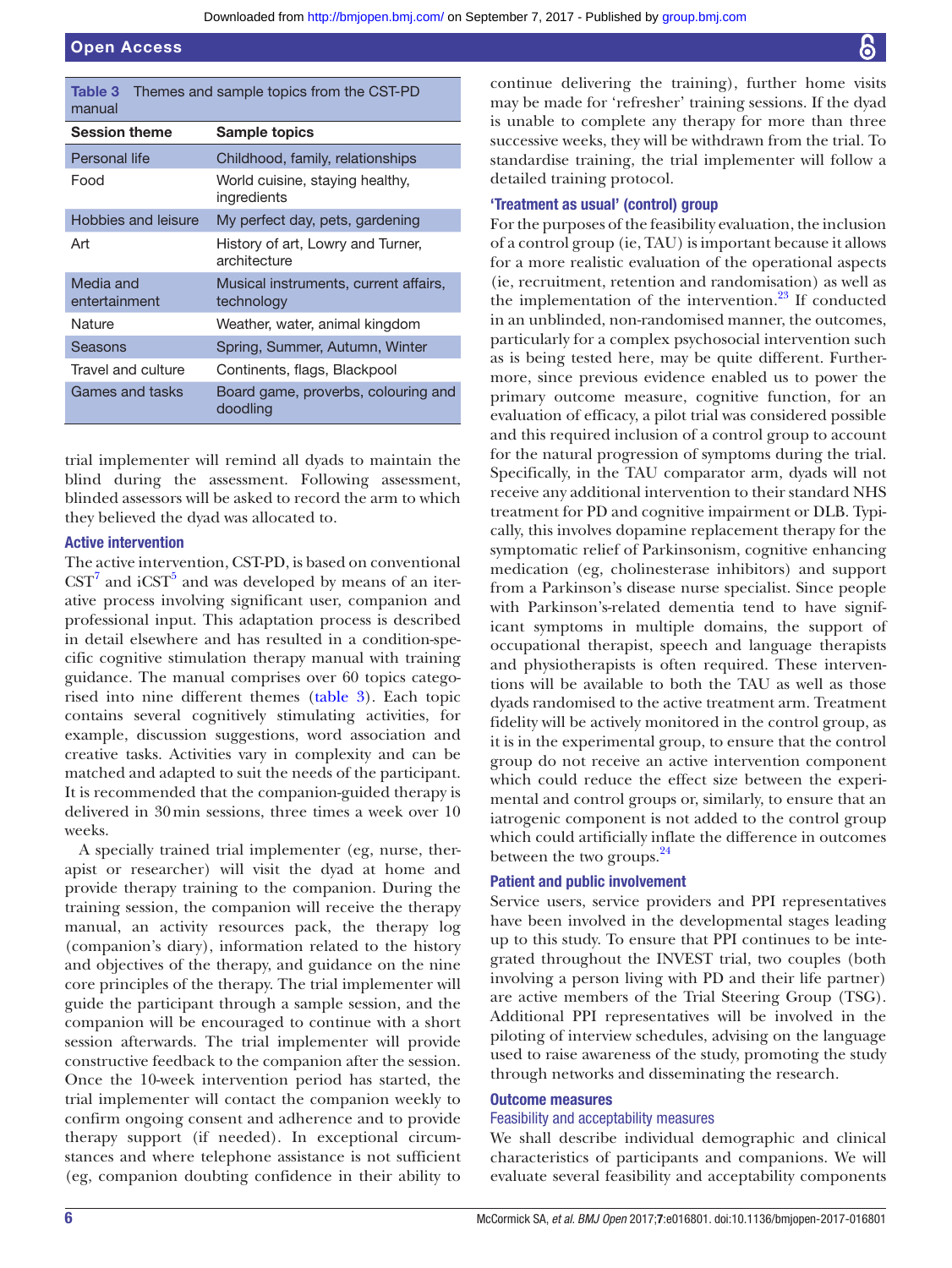<span id="page-5-0"></span>

| Table 3<br>manual          | Themes and sample topics from the CST-PD            |
|----------------------------|-----------------------------------------------------|
| <b>Session theme</b>       | <b>Sample topics</b>                                |
| Personal life              | Childhood, family, relationships                    |
| Food                       | World cuisine, staying healthy,<br>ingredients      |
| Hobbies and leisure        | My perfect day, pets, gardening                     |
| Art                        | History of art, Lowry and Turner,<br>architecture   |
| Media and<br>entertainment | Musical instruments, current affairs,<br>technology |
| Nature                     | Weather, water, animal kingdom                      |
| Seasons                    | Spring, Summer, Autumn, Winter                      |
| Travel and culture         | Continents, flags, Blackpool                        |
| Games and tasks            | Board game, proverbs, colouring and<br>doodling     |

trial implementer will remind all dyads to maintain the blind during the assessment. Following assessment, blinded assessors will be asked to record the arm to which they believed the dyad was allocated to.

#### Active intervention

The active intervention, CST-PD, is based on conventional  $\text{CST}^7$  and i $\text{CST}^5$  and was developed by means of an iterative process involving significant user, companion and professional input. This adaptation process is described in detail elsewhere and has resulted in a condition-specific cognitive stimulation therapy manual with training guidance. The manual comprises over 60 topics categorised into nine different themes ([table](#page-5-0) 3). Each topic contains several cognitively stimulating activities, for example, discussion suggestions, word association and creative tasks. Activities vary in complexity and can be matched and adapted to suit the needs of the participant. It is recommended that the companion-guided therapy is delivered in 30min sessions, three times a week over 10 weeks.

A specially trained trial implementer (eg, nurse, therapist or researcher) will visit the dyad at home and provide therapy training to the companion. During the training session, the companion will receive the therapy manual, an activity resources pack, the therapy log (companion's diary), information related to the history and objectives of the therapy, and guidance on the nine core principles of the therapy. The trial implementer will guide the participant through a sample session, and the companion will be encouraged to continue with a short session afterwards. The trial implementer will provide constructive feedback to the companion after the session. Once the 10-week intervention period has started, the trial implementer will contact the companion weekly to confirm ongoing consent and adherence and to provide therapy support (if needed). In exceptional circumstances and where telephone assistance is not sufficient (eg, companion doubting confidence in their ability to

continue delivering the training), further home visits may be made for 'refresher' training sessions. If the dyad is unable to complete any therapy for more than three successive weeks, they will be withdrawn from the trial. To standardise training, the trial implementer will follow a detailed training protocol.

# 'Treatment as usual' (control) group

For the purposes of the feasibility evaluation, the inclusion of a control group (ie, TAU) is important because it allows for a more realistic evaluation of the operational aspects (ie, recruitment, retention and randomisation) as well as the implementation of the intervention. $23$  If conducted in an unblinded, non-randomised manner, the outcomes, particularly for a complex psychosocial intervention such as is being tested here, may be quite different. Furthermore, since previous evidence enabled us to power the primary outcome measure, cognitive function, for an evaluation of efficacy, a pilot trial was considered possible and this required inclusion of a control group to account for the natural progression of symptoms during the trial. Specifically, in the TAU comparator arm, dyads will not receive any additional intervention to their standard NHS treatment for PD and cognitive impairment or DLB. Typically, this involves dopamine replacement therapy for the symptomatic relief of Parkinsonism, cognitive enhancing medication (eg, cholinesterase inhibitors) and support from a Parkinson's disease nurse specialist. Since people with Parkinson's-related dementia tend to have significant symptoms in multiple domains, the support of occupational therapist, speech and language therapists and physiotherapists is often required. These interventions will be available to both the TAU as well as those dyads randomised to the active treatment arm. Treatment fidelity will be actively monitored in the control group, as it is in the experimental group, to ensure that the control group do not receive an active intervention component which could reduce the effect size between the experimental and control groups or, similarly, to ensure that an iatrogenic component is not added to the control group which could artificially inflate the difference in outcomes between the two groups. $24$ 

#### Patient and public involvement

Service users, service providers and PPI representatives have been involved in the developmental stages leading up to this study. To ensure that PPI continues to be integrated throughout the INVEST trial, two couples (both involving a person living with PD and their life partner) are active members of the Trial Steering Group (TSG). Additional PPI representatives will be involved in the piloting of interview schedules, advising on the language used to raise awareness of the study, promoting the study through networks and disseminating the research.

# Outcome measures

#### Feasibility and acceptability measures

We shall describe individual demographic and clinical characteristics of participants and companions. We will evaluate several feasibility and acceptability components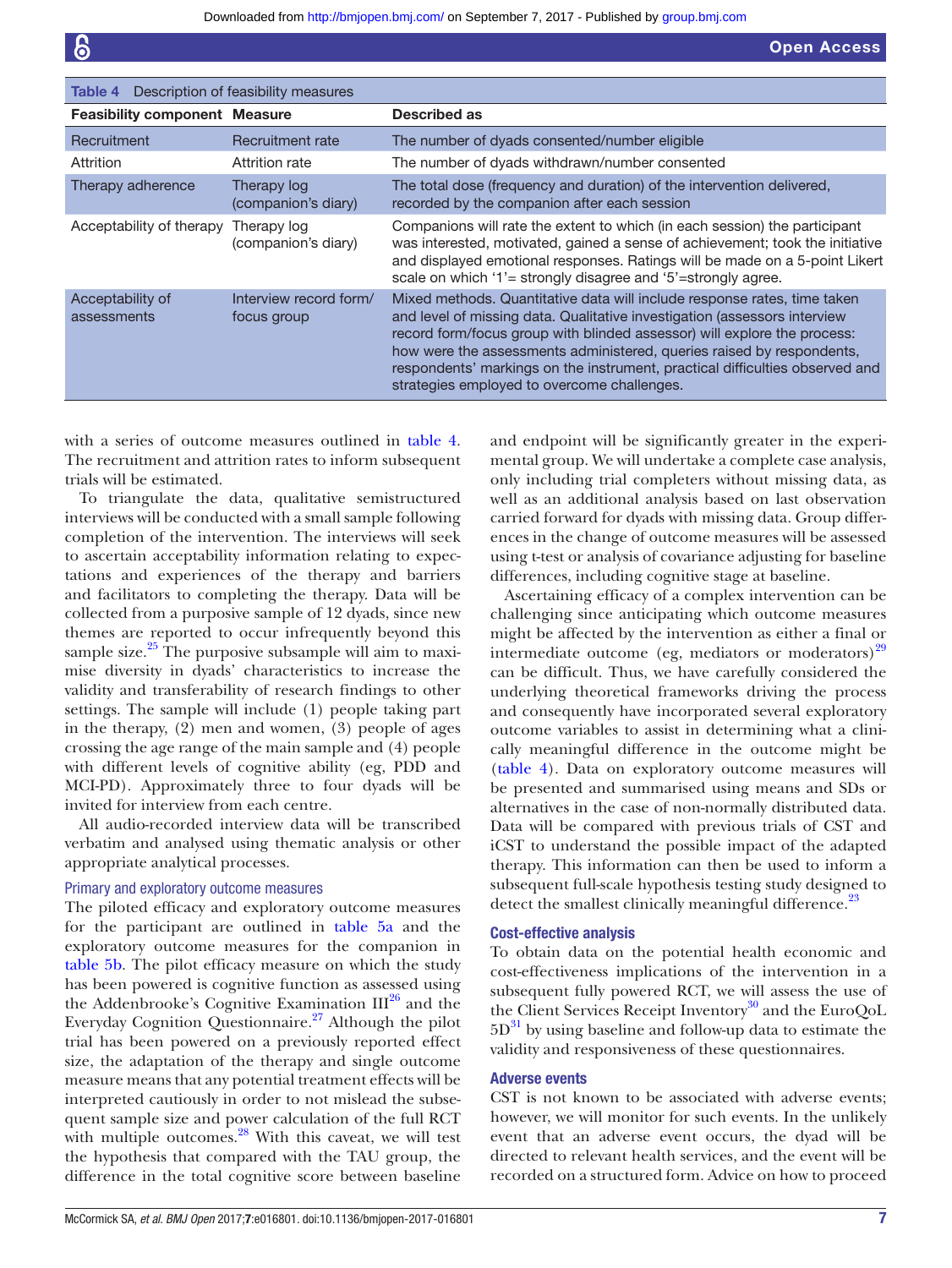<span id="page-6-0"></span>

| Description of feasibility measures<br>Table 4 |                                       |                                                                                                                                                                                                                                                                                                                                                                                                                                           |
|------------------------------------------------|---------------------------------------|-------------------------------------------------------------------------------------------------------------------------------------------------------------------------------------------------------------------------------------------------------------------------------------------------------------------------------------------------------------------------------------------------------------------------------------------|
| <b>Feasibility component Measure</b>           |                                       | Described as                                                                                                                                                                                                                                                                                                                                                                                                                              |
| Recruitment                                    | Recruitment rate                      | The number of dyads consented/number eligible                                                                                                                                                                                                                                                                                                                                                                                             |
| Attrition                                      | Attrition rate                        | The number of dyads withdrawn/number consented                                                                                                                                                                                                                                                                                                                                                                                            |
| Therapy adherence                              | Therapy log<br>(companion's diary)    | The total dose (frequency and duration) of the intervention delivered,<br>recorded by the companion after each session                                                                                                                                                                                                                                                                                                                    |
| Acceptability of therapy                       | Therapy log<br>(companion's diary)    | Companions will rate the extent to which (in each session) the participant<br>was interested, motivated, gained a sense of achievement; took the initiative<br>and displayed emotional responses. Ratings will be made on a 5-point Likert<br>scale on which '1'= strongly disagree and '5'=strongly agree.                                                                                                                               |
| Acceptability of<br>assessments                | Interview record form/<br>focus group | Mixed methods. Quantitative data will include response rates, time taken<br>and level of missing data. Qualitative investigation (assessors interview<br>record form/focus group with blinded assessor) will explore the process:<br>how were the assessments administered, queries raised by respondents,<br>respondents' markings on the instrument, practical difficulties observed and<br>strategies employed to overcome challenges. |

with a series of outcome measures outlined in [table](#page-6-0) 4. The recruitment and attrition rates to inform subsequent trials will be estimated.

To triangulate the data, qualitative semistructured interviews will be conducted with a small sample following completion of the intervention. The interviews will seek to ascertain acceptability information relating to expectations and experiences of the therapy and barriers and facilitators to completing the therapy. Data will be collected from a purposive sample of 12 dyads, since new themes are reported to occur infrequently beyond this sample size. $25$  The purposive subsample will aim to maximise diversity in dyads' characteristics to increase the validity and transferability of research findings to other settings. The sample will include (1) people taking part in the therapy, (2) men and women, (3) people of ages crossing the age range of the main sample and (4) people with different levels of cognitive ability (eg, PDD and MCI-PD). Approximately three to four dyads will be invited for interview from each centre.

All audio-recorded interview data will be transcribed verbatim and analysed using thematic analysis or other appropriate analytical processes.

#### Primary and exploratory outcome measures

The piloted efficacy and exploratory outcome measures for the participant are outlined in [table](#page-7-0) 5a and the exploratory outcome measures for the companion in [table](#page-7-0) 5b. The pilot efficacy measure on which the study has been powered is cognitive function as assessed using the Addenbrooke's Cognitive Examination III<sup>26</sup> and the Everyday Cognition Questionnaire.<sup>27</sup> Although the pilot trial has been powered on a previously reported effect size, the adaptation of the therapy and single outcome measure means that any potential treatment effects will be interpreted cautiously in order to not mislead the subsequent sample size and power calculation of the full RCT with multiple outcomes. $28$  With this caveat, we will test the hypothesis that compared with the TAU group, the difference in the total cognitive score between baseline

and endpoint will be significantly greater in the experimental group. We will undertake a complete case analysis, only including trial completers without missing data, as well as an additional analysis based on last observation carried forward for dyads with missing data. Group differences in the change of outcome measures will be assessed using t-test or analysis of covariance adjusting for baseline differences, including cognitive stage at baseline.

Open Access

Ascertaining efficacy of a complex intervention can be challenging since anticipating which outcome measures might be affected by the intervention as either a final or intermediate outcome (eg, mediators or moderators)<sup>[29](#page-9-3)</sup> can be difficult. Thus, we have carefully considered the underlying theoretical frameworks driving the process and consequently have incorporated several exploratory outcome variables to assist in determining what a clinically meaningful difference in the outcome might be [\(table](#page-6-0) 4). Data on exploratory outcome measures will be presented and summarised using means and SDs or alternatives in the case of non-normally distributed data. Data will be compared with previous trials of CST and iCST to understand the possible impact of the adapted therapy. This information can then be used to inform a subsequent full-scale hypothesis testing study designed to detect the smallest clinically meaningful difference.<sup>[23](#page-8-20)</sup>

# Cost-effective analysis

To obtain data on the potential health economic and cost-effectiveness implications of the intervention in a subsequent fully powered RCT, we will assess the use of the Client Services Receipt Inventory<sup>30</sup> and the EuroQoL  $5D<sup>31</sup>$  $5D<sup>31</sup>$  $5D<sup>31</sup>$  by using baseline and follow-up data to estimate the validity and responsiveness of these questionnaires.

#### Adverse events

CST is not known to be associated with adverse events; however, we will monitor for such events. In the unlikely event that an adverse event occurs, the dyad will be directed to relevant health services, and the event will be recorded on a structured form. Advice on how to proceed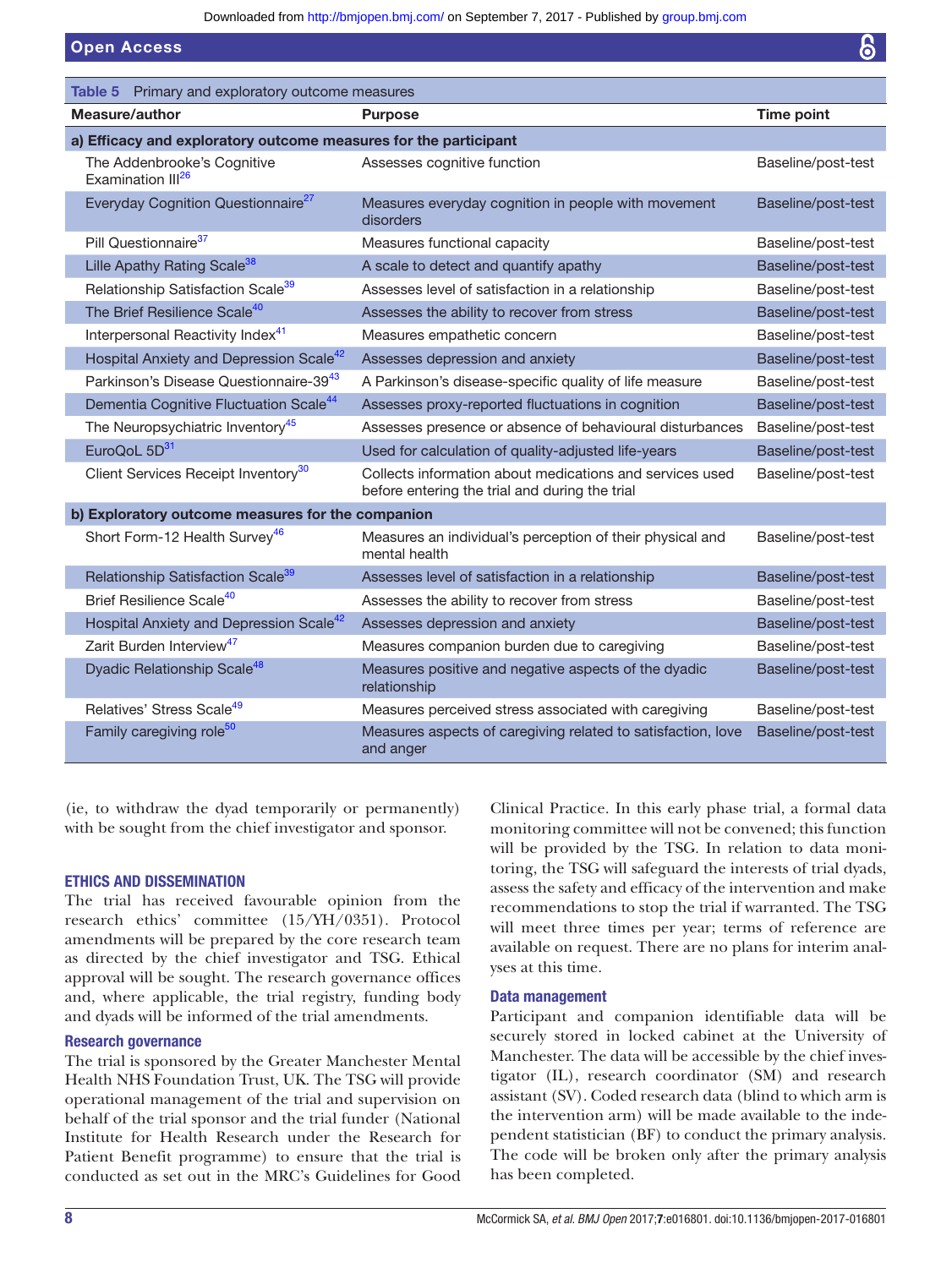<span id="page-7-0"></span>

| 6<br><b>Open Access</b>                                          |                                                                                                            |                    |
|------------------------------------------------------------------|------------------------------------------------------------------------------------------------------------|--------------------|
| Table 5 Primary and exploratory outcome measures                 |                                                                                                            |                    |
| Measure/author                                                   | <b>Purpose</b>                                                                                             | <b>Time point</b>  |
| a) Efficacy and exploratory outcome measures for the participant |                                                                                                            |                    |
| The Addenbrooke's Cognitive<br>Examination III <sup>26</sup>     | Assesses cognitive function                                                                                | Baseline/post-test |
| Everyday Cognition Questionnaire <sup>27</sup>                   | Measures everyday cognition in people with movement<br>disorders                                           | Baseline/post-test |
| Pill Questionnaire <sup>37</sup>                                 | Measures functional capacity                                                                               | Baseline/post-test |
| Lille Apathy Rating Scale <sup>38</sup>                          | A scale to detect and quantify apathy                                                                      | Baseline/post-test |
| Relationship Satisfaction Scale <sup>39</sup>                    | Assesses level of satisfaction in a relationship                                                           | Baseline/post-test |
| The Brief Resilience Scale <sup>40</sup>                         | Assesses the ability to recover from stress                                                                | Baseline/post-test |
| Interpersonal Reactivity Index <sup>41</sup>                     | Measures empathetic concern                                                                                | Baseline/post-test |
| Hospital Anxiety and Depression Scale <sup>42</sup>              | Assesses depression and anxiety                                                                            | Baseline/post-test |
| Parkinson's Disease Questionnaire-39 <sup>43</sup>               | A Parkinson's disease-specific quality of life measure                                                     | Baseline/post-test |
| Dementia Cognitive Fluctuation Scale <sup>44</sup>               | Assesses proxy-reported fluctuations in cognition                                                          | Baseline/post-test |
| The Neuropsychiatric Inventory <sup>45</sup>                     | Assesses presence or absence of behavioural disturbances                                                   | Baseline/post-test |
| EuroQoL 5D <sup>31</sup>                                         | Used for calculation of quality-adjusted life-years                                                        | Baseline/post-test |
| Client Services Receipt Inventory <sup>30</sup>                  | Collects information about medications and services used<br>before entering the trial and during the trial | Baseline/post-test |
| b) Exploratory outcome measures for the companion                |                                                                                                            |                    |
| Short Form-12 Health Survey <sup>46</sup>                        | Measures an individual's perception of their physical and<br>mental health                                 | Baseline/post-test |
| Relationship Satisfaction Scale <sup>39</sup>                    | Assesses level of satisfaction in a relationship                                                           | Baseline/post-test |
| Brief Resilience Scale <sup>40</sup>                             | Assesses the ability to recover from stress                                                                | Baseline/post-test |
| Hospital Anxiety and Depression Scale <sup>42</sup>              | Assesses depression and anxiety                                                                            | Baseline/post-test |
| Zarit Burden Interview <sup>47</sup>                             | Measures companion burden due to caregiving                                                                | Baseline/post-test |
| Dyadic Relationship Scale <sup>48</sup>                          | Measures positive and negative aspects of the dyadic<br>relationship                                       | Baseline/post-test |
| Relatives' Stress Scale <sup>49</sup>                            | Measures perceived stress associated with caregiving                                                       | Baseline/post-test |
| Family caregiving role <sup>50</sup>                             | Measures aspects of caregiving related to satisfaction, love<br>and anger                                  | Baseline/post-test |

(ie, to withdraw the dyad temporarily or permanently) with be sought from the chief investigator and sponsor.

# Ethics and dissemination

The trial has received favourable opinion from the research ethics' committee (15/YH/0351). Protocol amendments will be prepared by the core research team as directed by the chief investigator and TSG. Ethical approval will be sought. The research governance offices and, where applicable, the trial registry, funding body and dyads will be informed of the trial amendments.

# Research governance

The trial is sponsored by the Greater Manchester Mental Health NHS Foundation Trust, UK. The TSG will provide operational management of the trial and supervision on behalf of the trial sponsor and the trial funder (National Institute for Health Research under the Research for Patient Benefit programme) to ensure that the trial is conducted as set out in the MRC's Guidelines for Good

Clinical Practice. In this early phase trial, a formal data monitoring committee will not be convened; this function will be provided by the TSG. In relation to data monitoring, the TSG will safeguard the interests of trial dyads, assess the safety and efficacy of the intervention and make recommendations to stop the trial if warranted. The TSG will meet three times per year; terms of reference are available on request. There are no plans for interim analyses at this time.

# Data management

Participant and companion identifiable data will be securely stored in locked cabinet at the University of Manchester. The data will be accessible by the chief investigator (IL), research coordinator (SM) and research assistant (SV). Coded research data (blind to which arm is the intervention arm) will be made available to the independent statistician (BF) to conduct the primary analysis. The code will be broken only after the primary analysis has been completed.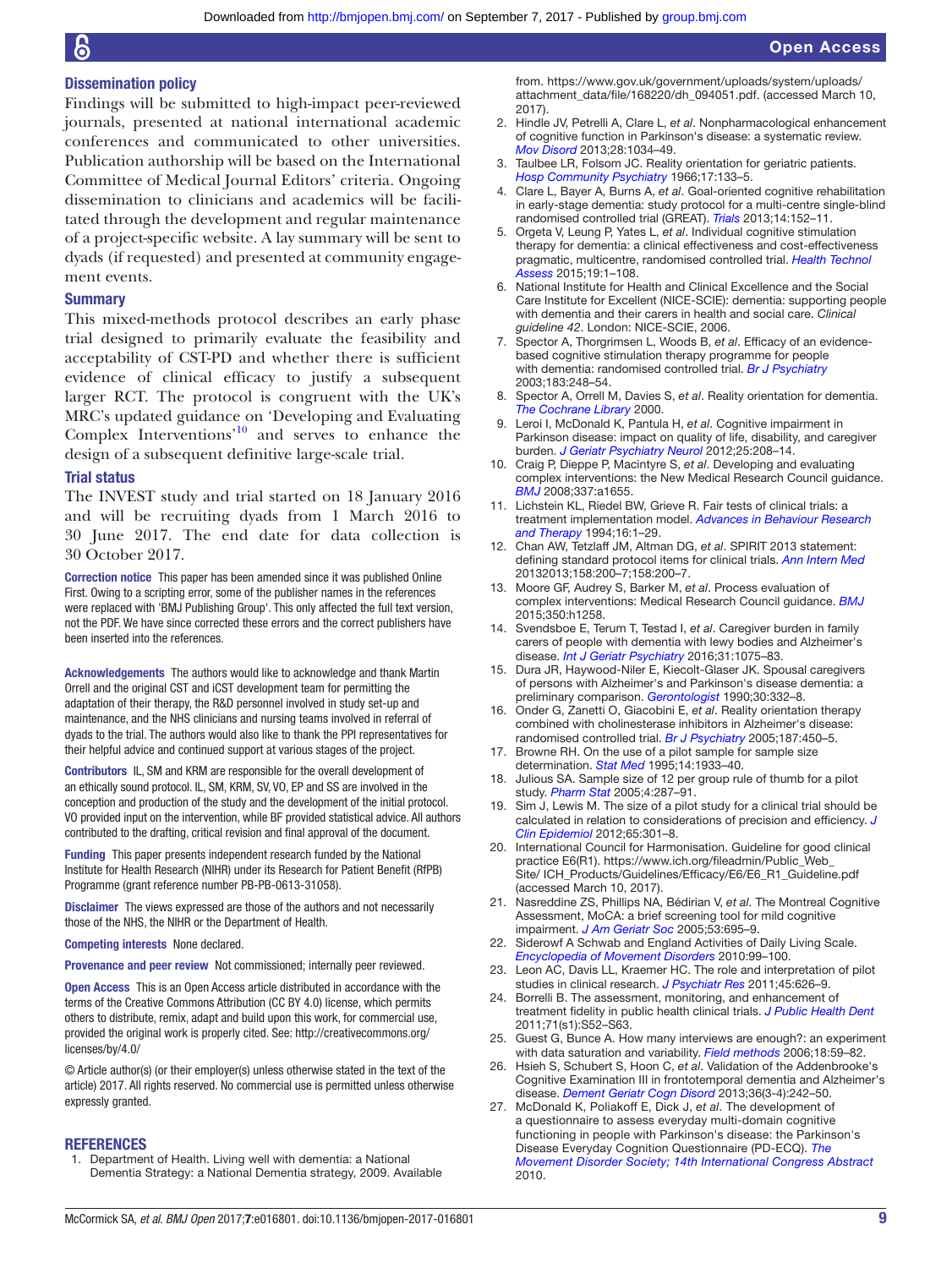#### Dissemination policy

Findings will be submitted to high-impact peer-reviewed journals, presented at national international academic conferences and communicated to other universities. Publication authorship will be based on the International Committee of Medical Journal Editors' criteria. Ongoing dissemination to clinicians and academics will be facilitated through the development and regular maintenance of a project-specific website. A lay summary will be sent to dyads (if requested) and presented at community engagement events.

#### **Summary**

This mixed-methods protocol describes an early phase trial designed to primarily evaluate the feasibility and acceptability of CST-PD and whether there is sufficient evidence of clinical efficacy to justify a subsequent larger RCT. The protocol is congruent with the UK's MRC's updated guidance on 'Developing and Evaluating Complex Interventions'[10](#page-8-9) and serves to enhance the design of a subsequent definitive large-scale trial.

#### Trial status

The INVEST study and trial started on 18 January 2016 and will be recruiting dyads from 1 March 2016 to 30 June 2017. The end date for data collection is 30 October 2017.

Correction notice This paper has been amended since it was published Online First. Owing to a scripting error, some of the publisher names in the references were replaced with 'BMJ Publishing Group'. This only affected the full text version, not the PDF. We have since corrected these errors and the correct publishers have been inserted into the references.

Acknowledgements The authors would like to acknowledge and thank Martin Orrell and the original CST and iCST development team for permitting the adaptation of their therapy, the R&D personnel involved in study set-up and maintenance, and the NHS clinicians and nursing teams involved in referral of dyads to the trial. The authors would also like to thank the PPI representatives for their helpful advice and continued support at various stages of the project.

Contributors IL, SM and KRM are responsible for the overall development of an ethically sound protocol. IL, SM, KRM, SV, VO, EP and SS are involved in the conception and production of the study and the development of the initial protocol. VO provided input on the intervention, while BF provided statistical advice. All authors contributed to the drafting, critical revision and final approval of the document.

Funding This paper presents independent research funded by the National Institute for Health Research (NIHR) under its Research for Patient Benefit (RfPB) Programme (grant reference number PB-PB-0613-31058).

Disclaimer The views expressed are those of the authors and not necessarily those of the NHS, the NIHR or the Department of Health.

Competing interests None declared.

Provenance and peer review Not commissioned; internally peer reviewed.

Open Access This is an Open Access article distributed in accordance with the terms of the Creative Commons Attribution (CC BY 4.0) license, which permits others to distribute, remix, adapt and build upon this work, for commercial use, provided the original work is properly cited. See: [http://creativecommons.org/](http://creativecommons.org/licenses/by/4.0/) [licenses/by/4.0/](http://creativecommons.org/licenses/by/4.0/)

© Article author(s) (or their employer(s) unless otherwise stated in the text of the article) 2017. All rights reserved. No commercial use is permitted unless otherwise expressly granted.

#### **REFERENCES**

<span id="page-8-0"></span>1. Department of Health. Living well with dementia: a National Dementia Strategy: a National Dementia strategy, 2009. Available from. [https://www.gov.uk/government/uploads/system/uploads/](https://www.gov.uk/government/uploads/system/uploads/attachment_data/file/168220/dh_094051.pdf) [attachment\\_data/file/168220/dh\\_094051.pdf.](https://www.gov.uk/government/uploads/system/uploads/attachment_data/file/168220/dh_094051.pdf) (accessed March 10, 2017).

- <span id="page-8-1"></span>2. Hindle JV, Petrelli A, Clare L, *et al*. Nonpharmacological enhancement of cognitive function in Parkinson's disease: a systematic review. *[Mov Disord](http://dx.doi.org/10.1002/mds.25377)* 2013;28:1034–49.
- <span id="page-8-2"></span>3. Taulbee LR, Folsom JC. Reality orientation for geriatric patients. *[Hosp Community Psychiatry](http://dx.doi.org/10.1176/ps.17.5.133)* 1966;17:133–5.
- <span id="page-8-3"></span>4. Clare L, Bayer A, Burns A, *et al*. Goal-oriented cognitive rehabilitation in early-stage dementia: study protocol for a multi-centre single-blind randomised controlled trial (GREAT). *[Trials](http://dx.doi.org/10.1186/1745-6215-14-152)* 2013;14:152–11.
- <span id="page-8-4"></span>5. Orgeta V, Leung P, Yates L, *et al*. Individual cognitive stimulation therapy for dementia: a clinical effectiveness and cost-effectiveness pragmatic, multicentre, randomised controlled trial. *[Health Technol](http://dx.doi.org/10.3310/hta19640)  [Assess](http://dx.doi.org/10.3310/hta19640)* 2015;19:1–108.
- <span id="page-8-5"></span>6. National Institute for Health and Clinical Excellence and the Social Care Institute for Excellent (NICE-SCIE): dementia: supporting people with dementia and their carers in health and social care. *Clinical guideline 42*. London: NICE-SCIE, 2006.
- <span id="page-8-6"></span>7. Spector A, Thorgrimsen L, Woods B, *et al*. Efficacy of an evidencebased cognitive stimulation therapy programme for people with dementia: randomised controlled trial. *[Br J Psychiatry](http://dx.doi.org/10.1192/bjp.183.3.248)* 2003;183:248–54.
- <span id="page-8-7"></span>8. Spector A, Orrell M, Davies S, *et al*. Reality orientation for dementia. *The Cochrane Library* 2000.
- <span id="page-8-8"></span>9. Leroi I, McDonald K, Pantula H, *et al*. Cognitive impairment in Parkinson disease: impact on quality of life, disability, and caregiver burden. *[J Geriatr Psychiatry Neurol](http://dx.doi.org/10.1177/0891988712464823)* 2012;25:208–14.
- <span id="page-8-9"></span>10. Craig P, Dieppe P, Macintyre S, *et al*. Developing and evaluating complex interventions: the New Medical Research Council guidance. *[BMJ](http://dx.doi.org/10.1136/bmj.a1655)* 2008;337:a1655.
- <span id="page-8-10"></span>11. Lichstein KL, Riedel BW, Grieve R. Fair tests of clinical trials: a treatment implementation model. *[Advances in Behaviour Research](http://dx.doi.org/10.1016/0146-6402(94)90001-9)  [and Therapy](http://dx.doi.org/10.1016/0146-6402(94)90001-9)* 1994;16:1–29.
- <span id="page-8-11"></span>12. Chan AW, Tetzlaff JM, Altman DG, *et al*. SPIRIT 2013 statement: defining standard protocol items for clinical trials. *[Ann Intern Med](http://dx.doi.org/10.7326/0003-4819-158-3-201302050-00583)* 20132013;158:200–7;158:200–7.
- <span id="page-8-12"></span>13. Moore GF, Audrey S, Barker M, *et al*. Process evaluation of complex interventions: Medical Research Council guidance. *[BMJ](http://dx.doi.org/10.1136/bmj.h1258)* 2015;350:h1258.
- <span id="page-8-13"></span>14. Svendsboe E, Terum T, Testad I, *et al*. Caregiver burden in family carers of people with dementia with lewy bodies and Alzheimer's disease. *[Int J Geriatr Psychiatry](http://dx.doi.org/10.1002/gps.4433)* 2016;31:1075–83.
- <span id="page-8-14"></span>15. Dura JR, Haywood-Niler E, Kiecolt-Glaser JK. Spousal caregivers of persons with Alzheimer's and Parkinson's disease dementia: a preliminary comparison. *[Gerontologist](http://dx.doi.org/10.1093/geront/30.3.332)* 1990;30:332–8.
- 16. Onder G, Zanetti O, Giacobini E, *et al*. Reality orientation therapy combined with cholinesterase inhibitors in Alzheimer's disease: randomised controlled trial. *[Br J Psychiatry](http://dx.doi.org/10.1192/bjp.187.5.450)* 2005;187:450–5.
- <span id="page-8-15"></span>17. Browne RH. On the use of a pilot sample for sample size determination. *[Stat Med](http://dx.doi.org/10.1002/sim.4780141709)* 1995;14:1933–40.
- <span id="page-8-16"></span>18. Julious SA. Sample size of 12 per group rule of thumb for a pilot study. *Pharm Stat* 2005;4:287–91.
- 19. Sim J, Lewis M. The size of a pilot study for a clinical trial should be calculated in relation to considerations of precision and efficiency. *[J](http://dx.doi.org/10.1016/j.jclinepi.2011.07.011)  [Clin Epidemiol](http://dx.doi.org/10.1016/j.jclinepi.2011.07.011)* 2012;65:301–8.
- <span id="page-8-17"></span>20. International Council for Harmonisation. Guideline for good clinical practice E6(R1). [https://www.ich.org/fileadmin/Public\\_Web\\_](https://www.ich.org/fileadmin/Public_Web_Site/ ICH_Products/Guidelines/Efficacy/E6/E6_R1_Guideline.pdf) [Site/ ICH\\_Products/Guidelines/Efficacy/E6/E6\\_R1\\_Guideline.pdf](https://www.ich.org/fileadmin/Public_Web_Site/ ICH_Products/Guidelines/Efficacy/E6/E6_R1_Guideline.pdf)  (accessed March 10, 2017).
- <span id="page-8-18"></span>21. Nasreddine ZS, Phillips NA, Bédirian V, *et al*. The Montreal Cognitive Assessment, MoCA: a brief screening tool for mild cognitive impairment. *[J Am Geriatr Soc](http://dx.doi.org/10.1111/j.1532-5415.2005.53221.x)* 2005;53:695–9.
- <span id="page-8-19"></span>22. Siderowf A Schwab and England Activities of Daily Living Scale. *Encyclopedia of Movement Disorders* 2010:99–100.
- <span id="page-8-20"></span>23. Leon AC, Davis LL, Kraemer HC. The role and interpretation of pilot studies in clinical research. *[J Psychiatr Res](http://dx.doi.org/10.1016/j.jpsychires.2010.10.008)* 2011;45:626–9.
- <span id="page-8-21"></span>24. Borrelli B. The assessment, monitoring, and enhancement of treatment fidelity in public health clinical trials. *[J Public Health Dent](http://dx.doi.org/10.1111/j.1752-7325.2011.00233.x)* 2011;71(s1):S52–S63.
- <span id="page-8-22"></span>25. Guest G, Bunce A. How many interviews are enough?: an experiment with data saturation and variability. *[Field methods](http://dx.doi.org/10.1177/1525822X05279903)* 2006;18:59–82.
- <span id="page-8-23"></span>26. Hsieh S, Schubert S, Hoon C, *et al*. Validation of the Addenbrooke's Cognitive Examination III in frontotemporal dementia and Alzheimer's disease. *[Dement Geriatr Cogn Disord](http://dx.doi.org/10.1159/000351671)* 2013;36(3-4):242–50.
- <span id="page-8-24"></span>27. McDonald K, Poliakoff E, Dick J, *et al*. The development of a questionnaire to assess everyday multi-domain cognitive functioning in people with Parkinson's disease: the Parkinson's Disease Everyday Cognition Questionnaire (PD-ECQ). *The Movement Disorder Society; 14th International Congress Abstract* 2010.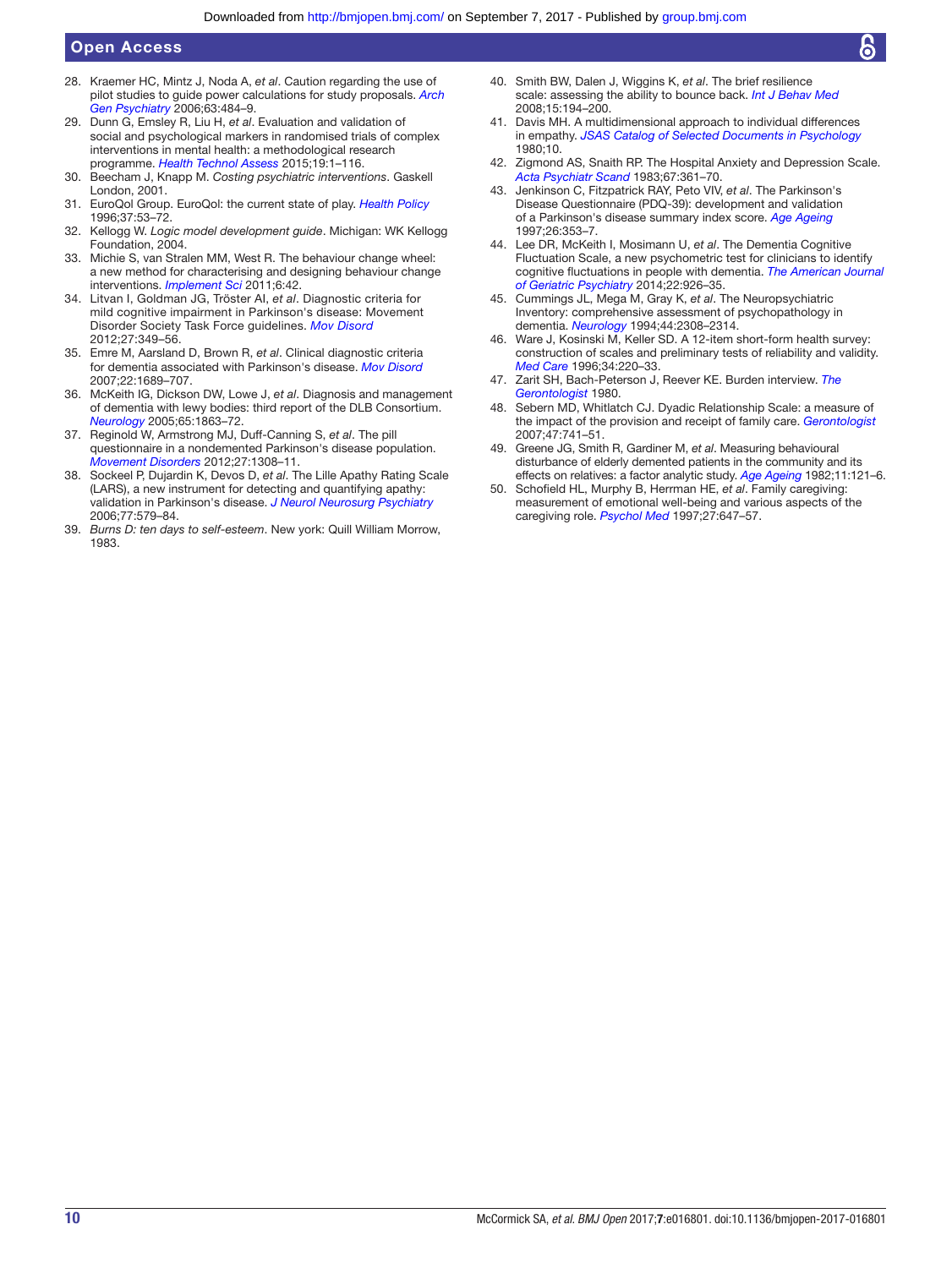#### Open Access

- <span id="page-9-2"></span>28. Kraemer HC, Mintz J, Noda A, *et al*. Caution regarding the use of pilot studies to guide power calculations for study proposals. *[Arch](http://dx.doi.org/10.1001/archpsyc.63.5.484)  [Gen Psychiatry](http://dx.doi.org/10.1001/archpsyc.63.5.484)* 2006;63:484–9.
- <span id="page-9-3"></span>29. Dunn G, Emsley R, Liu H, *et al*. Evaluation and validation of social and psychological markers in randomised trials of complex interventions in mental health: a methodological research programme. *[Health Technol Assess](http://dx.doi.org/10.3310/hta19930)* 2015;19:1–116.
- <span id="page-9-4"></span>30. Beecham J, Knapp M. *Costing psychiatric interventions*. Gaskell London, 2001.
- <span id="page-9-5"></span>31. EuroQol Group. EuroQol: the current state of play. *Health Policy* 1996;37:53–72.
- <span id="page-9-0"></span>32. Kellogg W. *Logic model development guide*. Michigan: WK Kellogg Foundation, 2004.
- 33. Michie S, van Stralen MM, West R. The behaviour change wheel: a new method for characterising and designing behaviour change interventions. *[Implement Sci](http://dx.doi.org/10.1186/1748-5908-6-42)* 2011;6:42.
- <span id="page-9-1"></span>34. Litvan I, Goldman JG, Tröster AI, *et al*. Diagnostic criteria for mild cognitive impairment in Parkinson's disease: Movement Disorder Society Task Force guidelines. *[Mov Disord](http://dx.doi.org/10.1002/mds.24893)* 2012;27:349–56.
- 35. Emre M, Aarsland D, Brown R, *et al*. Clinical diagnostic criteria for dementia associated with Parkinson's disease. *[Mov Disord](http://dx.doi.org/10.1002/mds.21507)* 2007;22:1689–707.
- 36. McKeith IG, Dickson DW, Lowe J, *et al*. Diagnosis and management of dementia with lewy bodies: third report of the DLB Consortium. *[Neurology](http://dx.doi.org/10.1212/01.wnl.0000187889.17253.b1)* 2005;65:1863–72.
- <span id="page-9-6"></span>37. Reginold W, Armstrong MJ, Duff-Canning S, *et al*. The pill questionnaire in a nondemented Parkinson's disease population. *[Movement Disorders](http://dx.doi.org/10.1002/mds.25124)* 2012;27:1308–11.
- <span id="page-9-7"></span>38. Sockeel P, Dujardin K, Devos D, *et al*. The Lille Apathy Rating Scale (LARS), a new instrument for detecting and quantifying apathy: validation in Parkinson's disease. *[J Neurol Neurosurg Psychiatry](http://dx.doi.org/10.1136/jnnp.2005.075929)* 2006;77:579–84.
- <span id="page-9-8"></span>39. *Burns D: ten days to self-esteem*. New york: Quill William Morrow, 1983.
- <span id="page-9-9"></span>40. Smith BW, Dalen J, Wiggins K, *et al*. The brief resilience scale: assessing the ability to bounce back. *[Int J Behav Med](http://dx.doi.org/10.1080/10705500802222972)* 2008;15:194–200.
- <span id="page-9-10"></span>41. Davis MH. A multidimensional approach to individual differences in empathy. *JSAS Catalog of Selected Documents in Psychology* 1980;10.
- <span id="page-9-11"></span>42. Zigmond AS, Snaith RP. The Hospital Anxiety and Depression Scale. *[Acta Psychiatr Scand](http://dx.doi.org/10.1111/j.1600-0447.1983.tb09716.x)* 1983;67:361–70.
- <span id="page-9-12"></span>43. Jenkinson C, Fitzpatrick RAY, Peto VIV, *et al*. The Parkinson's Disease Questionnaire (PDQ-39): development and validation of a Parkinson's disease summary index score. *[Age Ageing](http://dx.doi.org/10.1093/ageing/26.5.353)* 1997;26:353–7.
- <span id="page-9-13"></span>44. Lee DR, McKeith I, Mosimann U, *et al*. The Dementia Cognitive Fluctuation Scale, a new psychometric test for clinicians to identify cognitive fluctuations in people with dementia. *[The American Journal](http://dx.doi.org/10.1016/j.jagp.2013.01.072)  [of Geriatric Psychiatry](http://dx.doi.org/10.1016/j.jagp.2013.01.072)* 2014;22:926–35.
- <span id="page-9-14"></span>45. Cummings JL, Mega M, Gray K, *et al*. The Neuropsychiatric Inventory: comprehensive assessment of psychopathology in dementia. *[Neurology](http://dx.doi.org/10.1212/WNL.44.12.2308)* 1994;44:2308–2314.
- <span id="page-9-15"></span>46. Ware J, Kosinski M, Keller SD. A 12-item short-form health survey: construction of scales and preliminary tests of reliability and validity. *Med Care* 1996;34:220–33.
- <span id="page-9-16"></span>47. Zarit SH, Bach-Peterson J, Reever KE. Burden interview. *The Gerontologist* 1980.
- <span id="page-9-17"></span>48. Sebern MD, Whitlatch CJ. Dyadic Relationship Scale: a measure of the impact of the provision and receipt of family care. *[Gerontologist](http://dx.doi.org/10.1093/geront/47.6.741)* 2007;47:741–51.
- <span id="page-9-18"></span>49. Greene JG, Smith R, Gardiner M, *et al*. Measuring behavioural disturbance of elderly demented patients in the community and its effects on relatives: a factor analytic study. *[Age Ageing](http://dx.doi.org/10.1093/ageing/11.2.121)* 1982;11:121–6.
- <span id="page-9-19"></span>50. Schofield HL, Murphy B, Herrman HE, *et al*. Family caregiving: measurement of emotional well-being and various aspects of the caregiving role. *[Psychol Med](http://dx.doi.org/10.1017/S0033291797004820)* 1997;27:647–57.